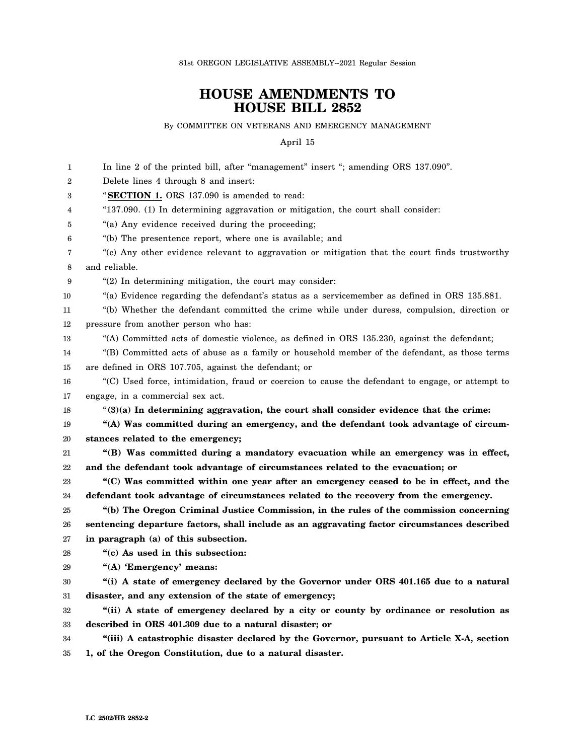81st OREGON LEGISLATIVE ASSEMBLY--2021 Regular Session

## **HOUSE AMENDMENTS TO HOUSE BILL 2852**

By COMMITTEE ON VETERANS AND EMERGENCY MANAGEMENT

April 15

| 1  | In line 2 of the printed bill, after "management" insert "; amending ORS 137.090".               |
|----|--------------------------------------------------------------------------------------------------|
| 2  | Delete lines 4 through 8 and insert:                                                             |
| 3  | "SECTION 1. ORS 137.090 is amended to read:                                                      |
| 4  | "137.090. (1) In determining aggravation or mitigation, the court shall consider:                |
| 5  | "(a) Any evidence received during the proceeding;                                                |
| 6  | "(b) The presentence report, where one is available; and                                         |
| 7  | "(c) Any other evidence relevant to aggravation or mitigation that the court finds trustworthy   |
| 8  | and reliable.                                                                                    |
| 9  | $(2)$ In determining mitigation, the court may consider:                                         |
| 10 | "(a) Evidence regarding the defendant's status as a servicemember as defined in ORS 135.881.     |
| 11 | "(b) Whether the defendant committed the crime while under duress, compulsion, direction or      |
| 12 | pressure from another person who has:                                                            |
| 13 | "(A) Committed acts of domestic violence, as defined in ORS 135.230, against the defendant;      |
| 14 | "(B) Committed acts of abuse as a family or household member of the defendant, as those terms    |
| 15 | are defined in ORS 107.705, against the defendant; or                                            |
| 16 | "(C) Used force, intimidation, fraud or coercion to cause the defendant to engage, or attempt to |
| 17 | engage, in a commercial sex act.                                                                 |
| 18 | $(3)(a)$ In determining aggravation, the court shall consider evidence that the crime:           |
| 19 | "(A) Was committed during an emergency, and the defendant took advantage of circum-              |
| 20 | stances related to the emergency;                                                                |
| 21 | "(B) Was committed during a mandatory evacuation while an emergency was in effect,               |
| 22 | and the defendant took advantage of circumstances related to the evacuation; or                  |
| 23 | "(C) Was committed within one year after an emergency ceased to be in effect, and the            |
| 24 | defendant took advantage of circumstances related to the recovery from the emergency.            |
| 25 | "(b) The Oregon Criminal Justice Commission, in the rules of the commission concerning           |
| 26 | sentencing departure factors, shall include as an aggravating factor circumstances described     |
| 27 | in paragraph (a) of this subsection.                                                             |
| 28 | "(c) As used in this subsection:                                                                 |
| 29 | "(A) 'Emergency' means:                                                                          |
| 30 | "(i) A state of emergency declared by the Governor under ORS 401.165 due to a natural            |
| 31 | disaster, and any extension of the state of emergency;                                           |
| 32 | "(ii) A state of emergency declared by a city or county by ordinance or resolution as            |
| 33 | described in ORS 401.309 due to a natural disaster; or                                           |
| 34 | "(iii) A catastrophic disaster declared by the Governor, pursuant to Article X-A, section        |
| 35 | 1, of the Oregon Constitution, due to a natural disaster.                                        |
|    |                                                                                                  |